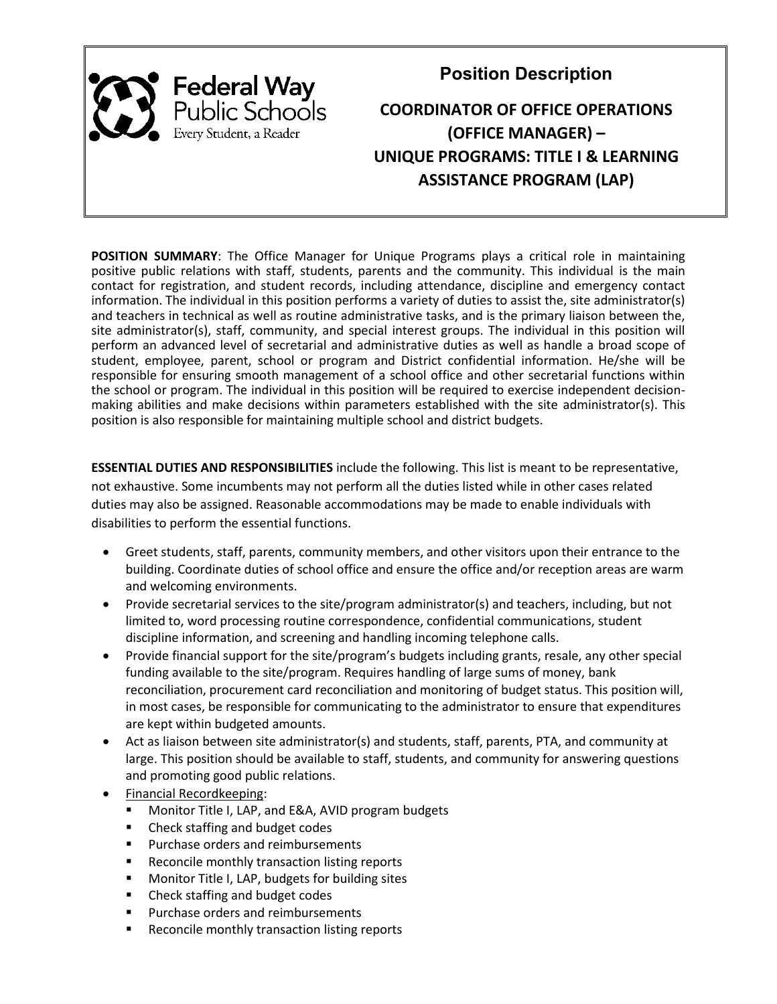

**Position Description**

# **COORDINATOR OF OFFICE OPERATIONS (OFFICE MANAGER) – UNIQUE PROGRAMS: TITLE I & LEARNING ASSISTANCE PROGRAM (LAP)**

**POSITION SUMMARY**: The Office Manager for Unique Programs plays a critical role in maintaining positive public relations with staff, students, parents and the community. This individual is the main contact for registration, and student records, including attendance, discipline and emergency contact information. The individual in this position performs a variety of duties to assist the, site administrator(s) and teachers in technical as well as routine administrative tasks, and is the primary liaison between the, site administrator(s), staff, community, and special interest groups. The individual in this position will perform an advanced level of secretarial and administrative duties as well as handle a broad scope of student, employee, parent, school or program and District confidential information. He/she will be responsible for ensuring smooth management of a school office and other secretarial functions within the school or program. The individual in this position will be required to exercise independent decisionmaking abilities and make decisions within parameters established with the site administrator(s). This position is also responsible for maintaining multiple school and district budgets.

**ESSENTIAL DUTIES AND RESPONSIBILITIES** include the following. This list is meant to be representative, not exhaustive. Some incumbents may not perform all the duties listed while in other cases related duties may also be assigned. Reasonable accommodations may be made to enable individuals with disabilities to perform the essential functions.

- Greet students, staff, parents, community members, and other visitors upon their entrance to the building. Coordinate duties of school office and ensure the office and/or reception areas are warm and welcoming environments.
- Provide secretarial services to the site/program administrator(s) and teachers, including, but not limited to, word processing routine correspondence, confidential communications, student discipline information, and screening and handling incoming telephone calls.
- Provide financial support for the site/program's budgets including grants, resale, any other special funding available to the site/program. Requires handling of large sums of money, bank reconciliation, procurement card reconciliation and monitoring of budget status. This position will, in most cases, be responsible for communicating to the administrator to ensure that expenditures are kept within budgeted amounts.
- Act as liaison between site administrator(s) and students, staff, parents, PTA, and community at large. This position should be available to staff, students, and community for answering questions and promoting good public relations.
- Financial Recordkeeping:
	- Monitor Title I, LAP, and E&A, AVID program budgets
	- Check staffing and budget codes
	- Purchase orders and reimbursements
	- Reconcile monthly transaction listing reports
	- Monitor Title I, LAP, budgets for building sites
	- Check staffing and budget codes
	- Purchase orders and reimbursements
	- Reconcile monthly transaction listing reports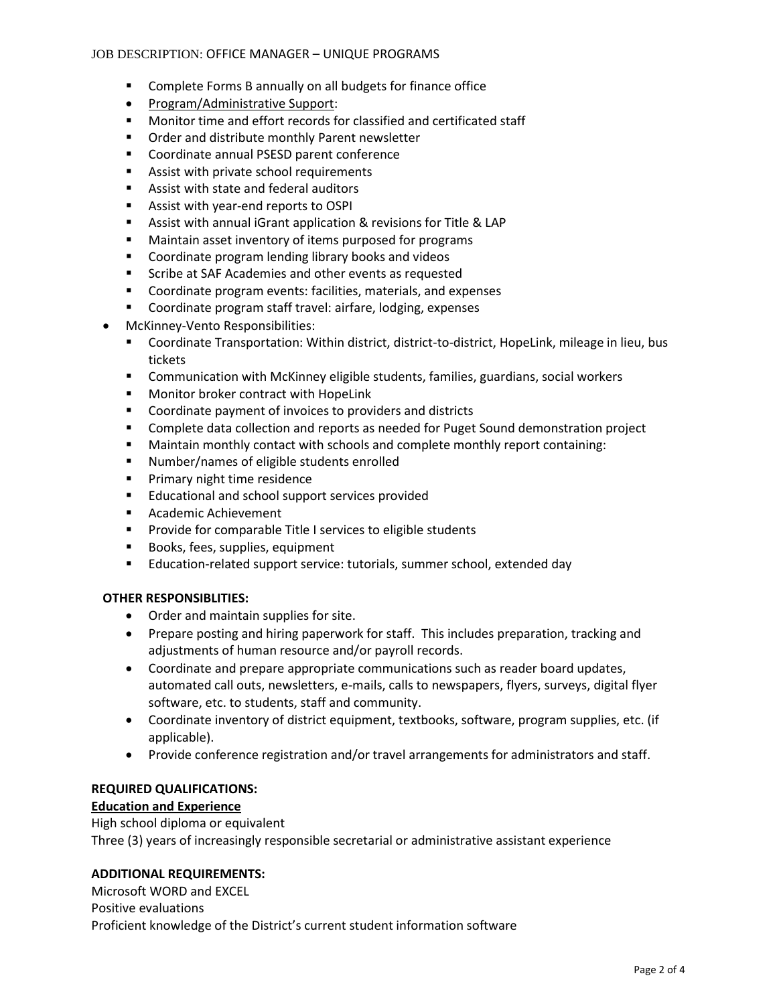## JOB DESCRIPTION: OFFICE MANAGER – UNIQUE PROGRAMS

- Complete Forms B annually on all budgets for finance office
- Program/Administrative Support:
- Monitor time and effort records for classified and certificated staff
- Order and distribute monthly Parent newsletter
- Coordinate annual PSESD parent conference
- Assist with private school requirements
- Assist with state and federal auditors
- Assist with year-end reports to OSPI
- Assist with annual iGrant application & revisions for Title & LAP
- Maintain asset inventory of items purposed for programs
- Coordinate program lending library books and videos
- Scribe at SAF Academies and other events as requested
- Coordinate program events: facilities, materials, and expenses
- Coordinate program staff travel: airfare, lodging, expenses
- McKinney-Vento Responsibilities:
	- Coordinate Transportation: Within district, district-to-district, HopeLink, mileage in lieu, bus tickets
	- Communication with McKinney eligible students, families, guardians, social workers
	- Monitor broker contract with HopeLink
	- Coordinate payment of invoices to providers and districts
	- Complete data collection and reports as needed for Puget Sound demonstration project
	- Maintain monthly contact with schools and complete monthly report containing:
	- Number/names of eligible students enrolled
	- Primary night time residence
	- Educational and school support services provided
	- Academic Achievement
	- Provide for comparable Title I services to eligible students
	- Books, fees, supplies, equipment
	- Education-related support service: tutorials, summer school, extended day

## **OTHER RESPONSIBLITIES:**

- Order and maintain supplies for site.
- Prepare posting and hiring paperwork for staff. This includes preparation, tracking and adjustments of human resource and/or payroll records.
- Coordinate and prepare appropriate communications such as reader board updates, automated call outs, newsletters, e-mails, calls to newspapers, flyers, surveys, digital flyer software, etc. to students, staff and community.
- Coordinate inventory of district equipment, textbooks, software, program supplies, etc. (if applicable).
- Provide conference registration and/or travel arrangements for administrators and staff.

## **REQUIRED QUALIFICATIONS:**

## **Education and Experience**

High school diploma or equivalent Three (3) years of increasingly responsible secretarial or administrative assistant experience

## **ADDITIONAL REQUIREMENTS:**

Microsoft WORD and EXCEL Positive evaluations Proficient knowledge of the District's current student information software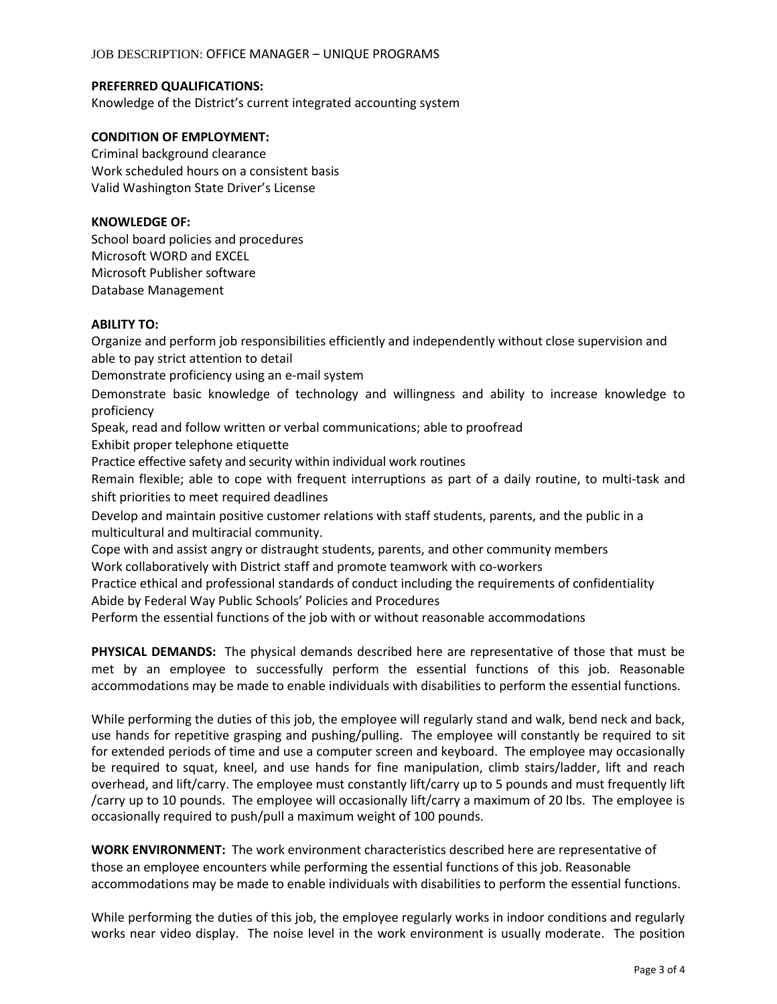## JOB DESCRIPTION: OFFICE MANAGER – UNIQUE PROGRAMS

## **PREFERRED QUALIFICATIONS:**

Knowledge of the District's current integrated accounting system

## **CONDITION OF EMPLOYMENT:**

Criminal background clearance Work scheduled hours on a consistent basis Valid Washington State Driver's License

### **KNOWLEDGE OF:**

School board policies and procedures Microsoft WORD and EXCEL Microsoft Publisher software Database Management

## **ABILITY TO:**

Organize and perform job responsibilities efficiently and independently without close supervision and able to pay strict attention to detail Demonstrate proficiency using an e-mail system Demonstrate basic knowledge of technology and willingness and ability to increase knowledge to proficiency Speak, read and follow written or verbal communications; able to proofread Exhibit proper telephone etiquette Practice effective safety and security within individual work routines Remain flexible; able to cope with frequent interruptions as part of a daily routine, to multi-task and shift priorities to meet required deadlines Develop and maintain positive customer relations with staff students, parents, and the public in a multicultural and multiracial community. Cope with and assist angry or distraught students, parents, and other community members Work collaboratively with District staff and promote teamwork with co-workers Practice ethical and professional standards of conduct including the requirements of confidentiality Abide by Federal Way Public Schools' Policies and Procedures Perform the essential functions of the job with or without reasonable accommodations

**PHYSICAL DEMANDS:** The physical demands described here are representative of those that must be met by an employee to successfully perform the essential functions of this job. Reasonable accommodations may be made to enable individuals with disabilities to perform the essential functions.

While performing the duties of this job, the employee will regularly stand and walk, bend neck and back, use hands for repetitive grasping and pushing/pulling. The employee will constantly be required to sit for extended periods of time and use a computer screen and keyboard. The employee may occasionally be required to squat, kneel, and use hands for fine manipulation, climb stairs/ladder, lift and reach overhead, and lift/carry. The employee must constantly lift/carry up to 5 pounds and must frequently lift /carry up to 10 pounds. The employee will occasionally lift/carry a maximum of 20 lbs. The employee is occasionally required to push/pull a maximum weight of 100 pounds.

**WORK ENVIRONMENT:** The work environment characteristics described here are representative of those an employee encounters while performing the essential functions of this job. Reasonable accommodations may be made to enable individuals with disabilities to perform the essential functions.

While performing the duties of this job, the employee regularly works in indoor conditions and regularly works near video display. The noise level in the work environment is usually moderate. The position